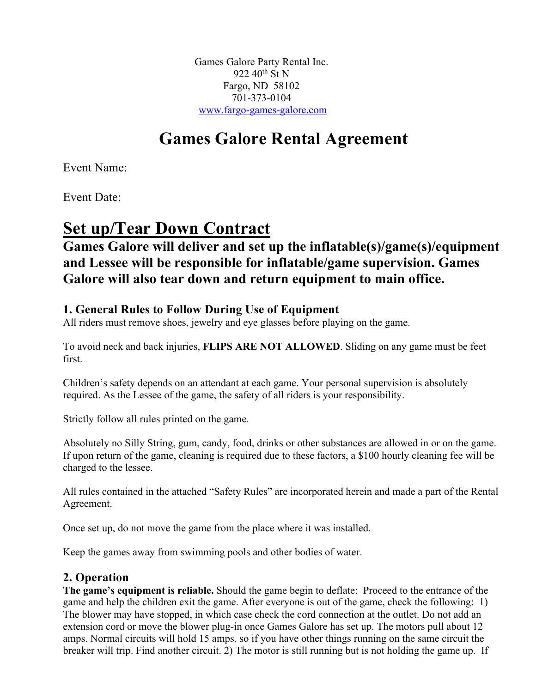Games Galore Party Rental Inc. 922 40<sup>th</sup> St N Fargo, ND 58102 701-373-0104 www.fargo-games-galore.com

# **Games Galore Rental Agreement**

Event Name:

Event Date:

## **Set up/Tear Down Contract**

## **Games Galore will deliver and set up the inflatable(s)/game(s)/equipment and Lessee will be responsible for inflatable/game supervision. Games Galore will also tear down and return equipment to main office.**

## **1. General Rules to Follow During Use of Equipment**

All riders must remove shoes, jewelry and eye glasses before playing on the game.

To avoid neck and back injuries, **FLIPS ARE NOT ALLOWED**. Sliding on any game must be feet first.

Children's safety depends on an attendant at each game. Your personal supervision is absolutely required. As the Lessee of the game, the safety of all riders is your responsibility.

Strictly follow all rules printed on the game.

Absolutely no Silly String, gum, candy, food, drinks or other substances are allowed in or on the game. If upon return of the game, cleaning is required due to these factors, a \$100 hourly cleaning fee will be charged to the lessee.

All rules contained in the attached "Safety Rules" are incorporated herein and made a part of the Rental Agreement.

Once set up, do not move the game from the place where it was installed.

Keep the games away from swimming pools and other bodies of water.

## **2. Operation**

**The game's equipment is reliable.** Should the game begin to deflate: Proceed to the entrance of the game and help the children exit the game. After everyone is out of the game, check the following: 1) The blower may have stopped, in which case check the cord connection at the outlet. Do not add an extension cord or move the blower plug-in once Games Galore has set up. The motors pull about 12 amps. Normal circuits will hold 15 amps, so if you have other things running on the same circuit the breaker will trip. Find another circuit. 2) The motor is still running but is not holding the game up. If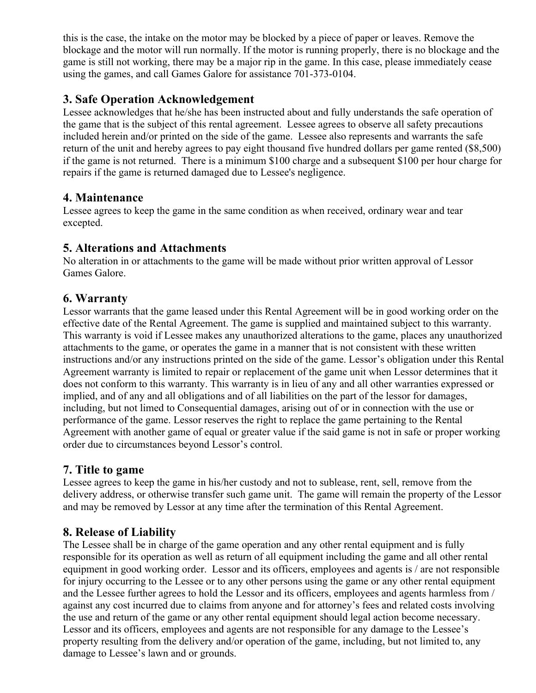this is the case, the intake on the motor may be blocked by a piece of paper or leaves. Remove the blockage and the motor will run normally. If the motor is running properly, there is no blockage and the game is still not working, there may be a major rip in the game. In this case, please immediately cease using the games, and call Games Galore for assistance 701-373-0104.

### **3. Safe Operation Acknowledgement**

Lessee acknowledges that he/she has been instructed about and fully understands the safe operation of the game that is the subject of this rental agreement. Lessee agrees to observe all safety precautions included herein and/or printed on the side of the game. Lessee also represents and warrants the safe return of the unit and hereby agrees to pay eight thousand five hundred dollars per game rented (\$8,500) if the game is not returned. There is a minimum \$100 charge and a subsequent \$100 per hour charge for repairs if the game is returned damaged due to Lessee's negligence.

#### **4. Maintenance**

Lessee agrees to keep the game in the same condition as when received, ordinary wear and tear excepted.

#### **5. Alterations and Attachments**

No alteration in or attachments to the game will be made without prior written approval of Lessor Games Galore.

#### **6. Warranty**

Lessor warrants that the game leased under this Rental Agreement will be in good working order on the effective date of the Rental Agreement. The game is supplied and maintained subject to this warranty. This warranty is void if Lessee makes any unauthorized alterations to the game, places any unauthorized attachments to the game, or operates the game in a manner that is not consistent with these written instructions and/or any instructions printed on the side of the game. Lessor's obligation under this Rental Agreement warranty is limited to repair or replacement of the game unit when Lessor determines that it does not conform to this warranty. This warranty is in lieu of any and all other warranties expressed or implied, and of any and all obligations and of all liabilities on the part of the lessor for damages, including, but not limed to Consequential damages, arising out of or in connection with the use or performance of the game. Lessor reserves the right to replace the game pertaining to the Rental Agreement with another game of equal or greater value if the said game is not in safe or proper working order due to circumstances beyond Lessor's control.

## **7. Title to game**

Lessee agrees to keep the game in his/her custody and not to sublease, rent, sell, remove from the delivery address, or otherwise transfer such game unit. The game will remain the property of the Lessor and may be removed by Lessor at any time after the termination of this Rental Agreement.

## **8. Release of Liability**

The Lessee shall be in charge of the game operation and any other rental equipment and is fully responsible for its operation as well as return of all equipment including the game and all other rental equipment in good working order. Lessor and its officers, employees and agents is / are not responsible for injury occurring to the Lessee or to any other persons using the game or any other rental equipment and the Lessee further agrees to hold the Lessor and its officers, employees and agents harmless from / against any cost incurred due to claims from anyone and for attorney's fees and related costs involving the use and return of the game or any other rental equipment should legal action become necessary. Lessor and its officers, employees and agents are not responsible for any damage to the Lessee's property resulting from the delivery and/or operation of the game, including, but not limited to, any damage to Lessee's lawn and or grounds.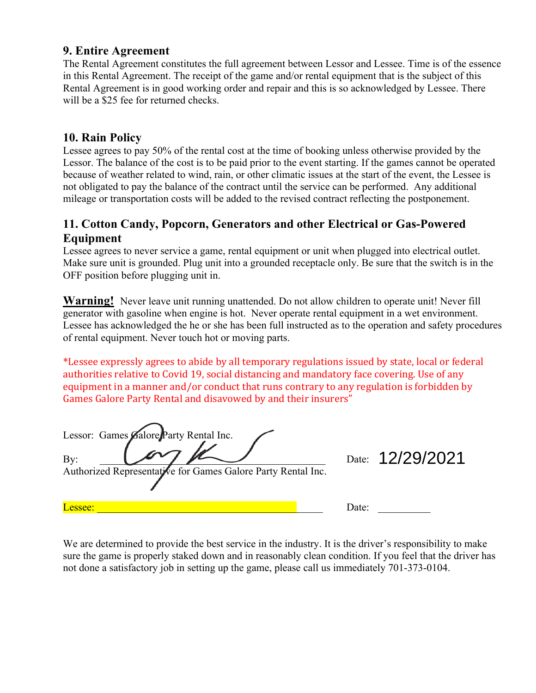#### **9. Entire Agreement**

The Rental Agreement constitutes the full agreement between Lessor and Lessee. Time is of the essence in this Rental Agreement. The receipt of the game and/or rental equipment that is the subject of this Rental Agreement is in good working order and repair and this is so acknowledged by Lessee. There will be a \$25 fee for returned checks.

#### **10. Rain Policy**

Lessee agrees to pay 50% of the rental cost at the time of booking unless otherwise provided by the Lessor. The balance of the cost is to be paid prior to the event starting. If the games cannot be operated because of weather related to wind, rain, or other climatic issues at the start of the event, the Lessee is not obligated to pay the balance of the contract until the service can be performed. Any additional mileage or transportation costs will be added to the revised contract reflecting the postponement.

#### **11. Cotton Candy, Popcorn, Generators and other Electrical or Gas-Powered Equipment**

Lessee agrees to never service a game, rental equipment or unit when plugged into electrical outlet. Make sure unit is grounded. Plug unit into a grounded receptacle only. Be sure that the switch is in the OFF position before plugging unit in.

**Warning!** Never leave unit running unattended. Do not allow children to operate unit! Never fill generator with gasoline when engine is hot. Never operate rental equipment in a wet environment. Lessee has acknowledged the he or she has been full instructed as to the operation and safety procedures of rental equipment. Never touch hot or moving parts.

\*Lessee expressly agrees to abide by all temporary regulations issued by state, local or federal authorities relative to Covid 19, social distancing and mandatory face covering. Use of any equipment in a manner and/or conduct that runs contrary to any regulation is forbidden by Games Galore Party Rental and disavowed by and their insurers"

| Lessor: Games Galore Party Rental Inc.<br>By:<br>Authorized Representative for Games Galore Party Rental Inc. | Date: 12/29/2021 |
|---------------------------------------------------------------------------------------------------------------|------------------|
| Lessee:                                                                                                       | Date:            |

We are determined to provide the best service in the industry. It is the driver's responsibility to make sure the game is properly staked down and in reasonably clean condition. If you feel that the driver has not done a satisfactory job in setting up the game, please call us immediately 701-373-0104.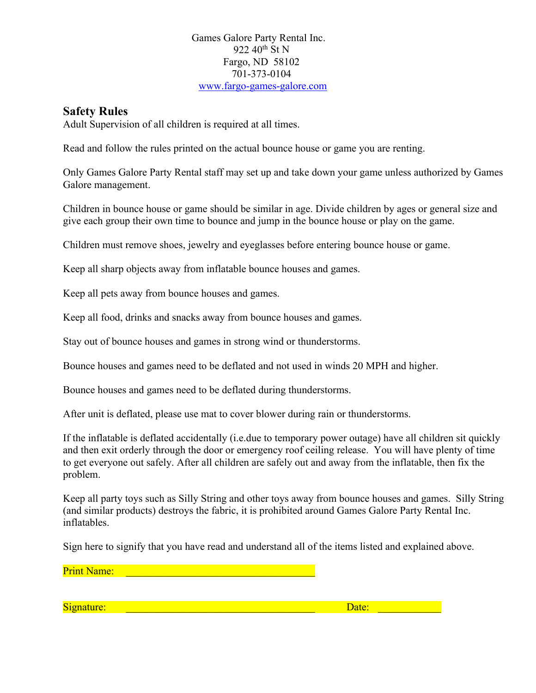#### Games Galore Party Rental Inc. 922 40<sup>th</sup> St N Fargo, ND 58102 701-373-0104 www.fargo-games-galore.com

#### **Safety Rules**

Adult Supervision of all children is required at all times.

Read and follow the rules printed on the actual bounce house or game you are renting.

Only Games Galore Party Rental staff may set up and take down your game unless authorized by Games Galore management.

Children in bounce house or game should be similar in age. Divide children by ages or general size and give each group their own time to bounce and jump in the bounce house or play on the game.

Children must remove shoes, jewelry and eyeglasses before entering bounce house or game.

Keep all sharp objects away from inflatable bounce houses and games.

Keep all pets away from bounce houses and games.

Keep all food, drinks and snacks away from bounce houses and games.

Stay out of bounce houses and games in strong wind or thunderstorms.

Bounce houses and games need to be deflated and not used in winds 20 MPH and higher.

Bounce houses and games need to be deflated during thunderstorms.

After unit is deflated, please use mat to cover blower during rain or thunderstorms.

If the inflatable is deflated accidentally (i.e.due to temporary power outage) have all children sit quickly and then exit orderly through the door or emergency roof ceiling release. You will have plenty of time to get everyone out safely. After all children are safely out and away from the inflatable, then fix the problem.

Keep all party toys such as Silly String and other toys away from bounce houses and games. Silly String (and similar products) destroys the fabric, it is prohibited around Games Galore Party Rental Inc. inflatables.

Sign here to signify that you have read and understand all of the items listed and explained above.

Print Name: \_\_\_\_\_\_\_\_\_\_\_\_\_\_\_\_\_\_\_\_\_\_\_\_\_\_\_\_\_\_\_\_\_\_\_\_

Signature: \_\_\_\_\_\_\_\_\_\_\_\_\_\_\_\_\_\_\_\_\_\_\_\_\_\_\_\_\_\_\_\_\_\_\_\_ Date: \_\_\_\_\_\_\_\_\_\_\_\_